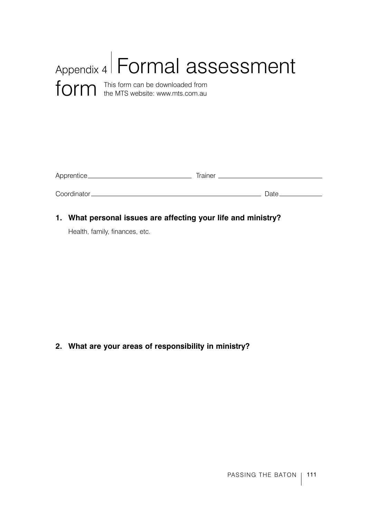| Appendix 4   Formal assessment                                           |
|--------------------------------------------------------------------------|
| form this form can be downloaded from<br>the MTS website: www.mts.com.au |

| Apprentice____ | Trainer |      |
|----------------|---------|------|
| Coordinator.   |         | Date |

**1. What personal issues are affecting your life and ministry?** Health, family, finances, etc.

**2. What are your areas of responsibility in ministry?**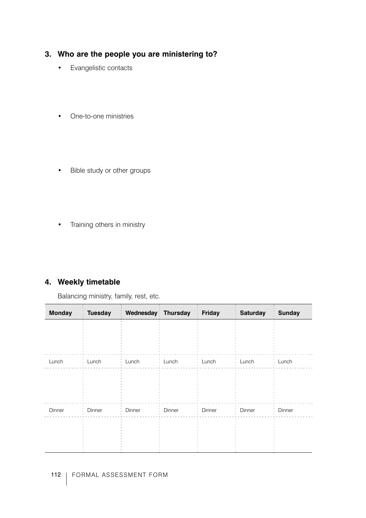## **3. Who are the people you are ministering to?**

- Evangelistic contacts
- One-to-one ministries
- Bible study or other groups
- Training others in ministry

## **4. Weekly timetable**

Balancing ministry, family, rest, etc.

| <b>Monday</b> | <b>Tuesday</b> | Wednesday Thursday<br>$\epsilon$ |          | Friday   | <b>Saturday</b> | <b>Sunday</b> |
|---------------|----------------|----------------------------------|----------|----------|-----------------|---------------|
|               |                |                                  |          |          |                 |               |
|               |                |                                  |          |          |                 |               |
| Lunch         | Lunch          | : Lunch                          | : Lunch  | : Lunch  | : Lunch         | : Lunch       |
|               |                |                                  |          |          |                 |               |
|               |                |                                  |          |          |                 |               |
| Dinner        | : Dinner       | Dinner<br>÷.                     | : Dinner | : Dinner | Dinner<br>÷     | Dinner        |
|               |                |                                  |          |          |                 |               |
|               |                |                                  |          |          |                 |               |
|               |                |                                  |          |          |                 |               |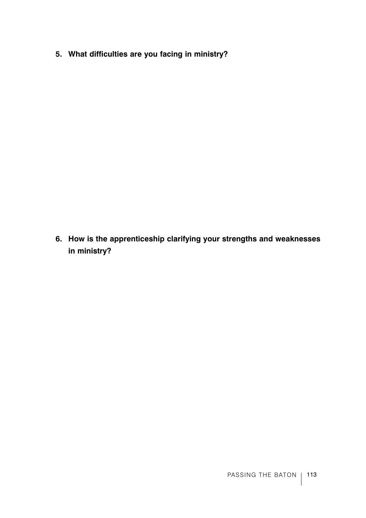**5. What difficulties are you facing in ministry?**

**6. How is the apprenticeship clarifying your strengths and weaknesses in ministry?**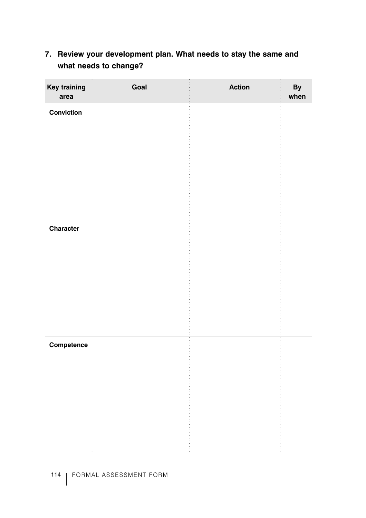| <b>Key training</b><br>area | Goal | <b>Action</b> | By<br>when |
|-----------------------------|------|---------------|------------|
| Conviction                  |      |               |            |
|                             |      |               |            |
|                             |      |               |            |
|                             |      |               |            |
|                             |      |               |            |
|                             |      |               |            |
| <b>Character</b>            |      |               |            |
|                             |      |               |            |
|                             |      |               |            |
|                             |      |               |            |
|                             |      |               |            |
|                             |      |               |            |
|                             |      |               |            |
| Competence                  |      |               |            |
|                             |      |               |            |
|                             |      |               |            |
|                             |      |               |            |
|                             |      |               |            |
|                             |      |               |            |

## **7. Review your development plan. What needs to stay the same and what needs to change?**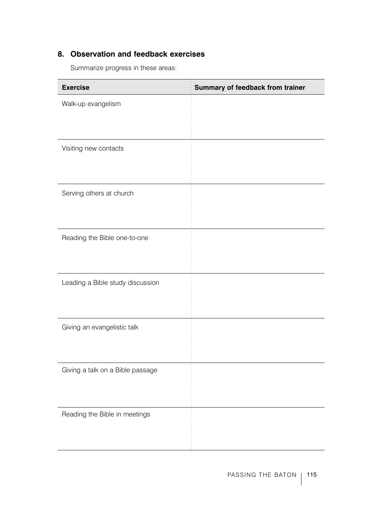## **8. Observation and feedback exercises**

Summarize progress in these areas:

| <b>Exercise</b>                  | Summary of feedback from trainer |
|----------------------------------|----------------------------------|
| Walk-up evangelism               |                                  |
|                                  |                                  |
| Visiting new contacts            |                                  |
|                                  |                                  |
| Serving others at church         |                                  |
|                                  |                                  |
| Reading the Bible one-to-one     |                                  |
|                                  |                                  |
| Leading a Bible study discussion |                                  |
|                                  |                                  |
| Giving an evangelistic talk      |                                  |
|                                  |                                  |
| Giving a talk on a Bible passage |                                  |
|                                  |                                  |
| Reading the Bible in meetings    |                                  |
|                                  |                                  |
|                                  |                                  |